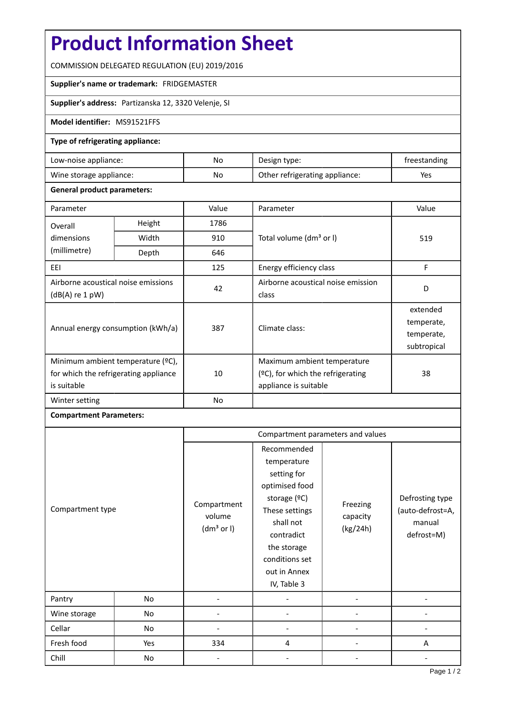# **Product Information Sheet**

COMMISSION DELEGATED REGULATION (EU) 2019/2016

### **Supplier's name or trademark:** FRIDGEMASTER

## **Supplier's address:** Partizanska 12, 3320 Velenje, SI

#### **Model identifier:** MS91521FFS

### **Type of refrigerating appliance:**

| Low-noise appliance:    | No. | Design type:                   | freestanding |
|-------------------------|-----|--------------------------------|--------------|
| Wine storage appliance: | No  | Other refrigerating appliance: | Yes          |

#### **General product parameters:**

| Parameter                                                                                 |        | Value | Parameter                                                                                    | Value                                               |
|-------------------------------------------------------------------------------------------|--------|-------|----------------------------------------------------------------------------------------------|-----------------------------------------------------|
| Overall                                                                                   | Height | 1786  |                                                                                              | 519                                                 |
| dimensions                                                                                | Width  | 910   | Total volume (dm <sup>3</sup> or I)                                                          |                                                     |
| (millimetre)                                                                              | Depth  | 646   |                                                                                              |                                                     |
| EEI                                                                                       |        | 125   | Energy efficiency class                                                                      | F                                                   |
| Airborne acoustical noise emissions<br>$(dB(A)$ re 1 pW)                                  |        | 42    | Airborne acoustical noise emission<br>class                                                  | D                                                   |
| Annual energy consumption (kWh/a)                                                         |        | 387   | Climate class:                                                                               | extended<br>temperate,<br>temperate,<br>subtropical |
| Minimum ambient temperature (°C),<br>for which the refrigerating appliance<br>is suitable |        | 10    | Maximum ambient temperature<br>$(2C)$ , for which the refrigerating<br>appliance is suitable | 38                                                  |
| Winter setting                                                                            |        | No    |                                                                                              |                                                     |

## **Compartment Parameters:**

| Compartment type |     | Compartment parameters and values               |                                                                                                                                                                                          |                                  |                                                             |
|------------------|-----|-------------------------------------------------|------------------------------------------------------------------------------------------------------------------------------------------------------------------------------------------|----------------------------------|-------------------------------------------------------------|
|                  |     | Compartment<br>volume<br>(dm <sup>3</sup> or I) | Recommended<br>temperature<br>setting for<br>optimised food<br>storage (°C)<br>These settings<br>shall not<br>contradict<br>the storage<br>conditions set<br>out in Annex<br>IV, Table 3 | Freezing<br>capacity<br>(kg/24h) | Defrosting type<br>(auto-defrost=A,<br>manual<br>defrost=M) |
| Pantry           | No  |                                                 |                                                                                                                                                                                          |                                  |                                                             |
| Wine storage     | No  |                                                 |                                                                                                                                                                                          |                                  |                                                             |
| Cellar           | No  |                                                 |                                                                                                                                                                                          |                                  |                                                             |
| Fresh food       | Yes | 334                                             | 4                                                                                                                                                                                        |                                  | A                                                           |
| Chill            | No  |                                                 |                                                                                                                                                                                          |                                  |                                                             |